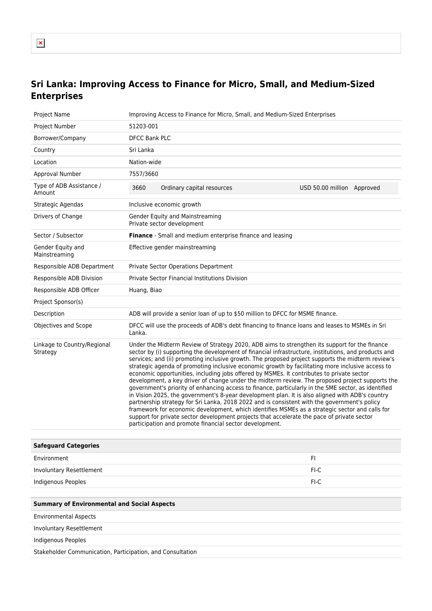## **Sri Lanka: Improving Access to Finance for Micro, Small, and Medium-Sized Enterprises**

| Project Name                                               | Improving Access to Finance for Micro, Small, and Medium-Sized Enterprises                                                                                                                                                                                                                                                                                                                                                                                                                                                                                                                                                                                                                                                                                                                                                                                                                                                                                                                                                                                                                                                                                                          |  |
|------------------------------------------------------------|-------------------------------------------------------------------------------------------------------------------------------------------------------------------------------------------------------------------------------------------------------------------------------------------------------------------------------------------------------------------------------------------------------------------------------------------------------------------------------------------------------------------------------------------------------------------------------------------------------------------------------------------------------------------------------------------------------------------------------------------------------------------------------------------------------------------------------------------------------------------------------------------------------------------------------------------------------------------------------------------------------------------------------------------------------------------------------------------------------------------------------------------------------------------------------------|--|
| Project Number                                             | 51203-001                                                                                                                                                                                                                                                                                                                                                                                                                                                                                                                                                                                                                                                                                                                                                                                                                                                                                                                                                                                                                                                                                                                                                                           |  |
| Borrower/Company                                           | <b>DFCC Bank PLC</b>                                                                                                                                                                                                                                                                                                                                                                                                                                                                                                                                                                                                                                                                                                                                                                                                                                                                                                                                                                                                                                                                                                                                                                |  |
| Country                                                    | Sri Lanka                                                                                                                                                                                                                                                                                                                                                                                                                                                                                                                                                                                                                                                                                                                                                                                                                                                                                                                                                                                                                                                                                                                                                                           |  |
| Location                                                   | Nation-wide                                                                                                                                                                                                                                                                                                                                                                                                                                                                                                                                                                                                                                                                                                                                                                                                                                                                                                                                                                                                                                                                                                                                                                         |  |
| Approval Number                                            | 7557/3660                                                                                                                                                                                                                                                                                                                                                                                                                                                                                                                                                                                                                                                                                                                                                                                                                                                                                                                                                                                                                                                                                                                                                                           |  |
| Type of ADB Assistance /<br>Amount                         | 3660<br>Ordinary capital resources<br>USD 50.00 million Approved                                                                                                                                                                                                                                                                                                                                                                                                                                                                                                                                                                                                                                                                                                                                                                                                                                                                                                                                                                                                                                                                                                                    |  |
| Strategic Agendas                                          | Inclusive economic growth                                                                                                                                                                                                                                                                                                                                                                                                                                                                                                                                                                                                                                                                                                                                                                                                                                                                                                                                                                                                                                                                                                                                                           |  |
| Drivers of Change                                          | Gender Equity and Mainstreaming<br>Private sector development                                                                                                                                                                                                                                                                                                                                                                                                                                                                                                                                                                                                                                                                                                                                                                                                                                                                                                                                                                                                                                                                                                                       |  |
| Sector / Subsector                                         | Finance - Small and medium enterprise finance and leasing                                                                                                                                                                                                                                                                                                                                                                                                                                                                                                                                                                                                                                                                                                                                                                                                                                                                                                                                                                                                                                                                                                                           |  |
| Gender Equity and<br>Mainstreaming                         | Effective gender mainstreaming                                                                                                                                                                                                                                                                                                                                                                                                                                                                                                                                                                                                                                                                                                                                                                                                                                                                                                                                                                                                                                                                                                                                                      |  |
| Responsible ADB Department                                 | Private Sector Operations Department                                                                                                                                                                                                                                                                                                                                                                                                                                                                                                                                                                                                                                                                                                                                                                                                                                                                                                                                                                                                                                                                                                                                                |  |
| Responsible ADB Division                                   | <b>Private Sector Financial Institutions Division</b>                                                                                                                                                                                                                                                                                                                                                                                                                                                                                                                                                                                                                                                                                                                                                                                                                                                                                                                                                                                                                                                                                                                               |  |
| Responsible ADB Officer                                    | Huang, Biao                                                                                                                                                                                                                                                                                                                                                                                                                                                                                                                                                                                                                                                                                                                                                                                                                                                                                                                                                                                                                                                                                                                                                                         |  |
| Project Sponsor(s)                                         |                                                                                                                                                                                                                                                                                                                                                                                                                                                                                                                                                                                                                                                                                                                                                                                                                                                                                                                                                                                                                                                                                                                                                                                     |  |
| Description                                                | ADB will provide a senior loan of up to \$50 million to DFCC for MSME finance.                                                                                                                                                                                                                                                                                                                                                                                                                                                                                                                                                                                                                                                                                                                                                                                                                                                                                                                                                                                                                                                                                                      |  |
| Objectives and Scope                                       | DFCC will use the proceeds of ADB's debt financing to finance loans and leases to MSMEs in Sri<br>Lanka.                                                                                                                                                                                                                                                                                                                                                                                                                                                                                                                                                                                                                                                                                                                                                                                                                                                                                                                                                                                                                                                                            |  |
| Linkage to Country/Regional<br>Strategy                    | Under the Midterm Review of Strategy 2020, ADB aims to strengthen its support for the finance<br>sector by (i) supporting the development of financial infrastructure, institutions, and products and<br>services; and (ii) promoting inclusive growth. The proposed project supports the midterm review's<br>strategic agenda of promoting inclusive economic growth by facilitating more inclusive access to<br>economic opportunities, including jobs offered by MSMEs. It contributes to private sector<br>development, a key driver of change under the midterm review. The proposed project supports the<br>government's priority of enhancing access to finance, particularly in the SME sector, as identified<br>in Vision 2025, the government's 8-year development plan. It is also aligned with ADB's country<br>partnership strategy for Sri Lanka, 2018 2022 and is consistent with the government's policy<br>framework for economic development, which identifies MSMEs as a strategic sector and calls for<br>support for private sector development projects that accelerate the pace of private sector<br>participation and promote financial sector development. |  |
| <b>Safeguard Categories</b>                                |                                                                                                                                                                                                                                                                                                                                                                                                                                                                                                                                                                                                                                                                                                                                                                                                                                                                                                                                                                                                                                                                                                                                                                                     |  |
| Environment                                                | FI.                                                                                                                                                                                                                                                                                                                                                                                                                                                                                                                                                                                                                                                                                                                                                                                                                                                                                                                                                                                                                                                                                                                                                                                 |  |
| Involuntary Resettlement                                   | FI-C                                                                                                                                                                                                                                                                                                                                                                                                                                                                                                                                                                                                                                                                                                                                                                                                                                                                                                                                                                                                                                                                                                                                                                                |  |
| Indigenous Peoples                                         | FI-C                                                                                                                                                                                                                                                                                                                                                                                                                                                                                                                                                                                                                                                                                                                                                                                                                                                                                                                                                                                                                                                                                                                                                                                |  |
|                                                            |                                                                                                                                                                                                                                                                                                                                                                                                                                                                                                                                                                                                                                                                                                                                                                                                                                                                                                                                                                                                                                                                                                                                                                                     |  |
| <b>Summary of Environmental and Social Aspects</b>         |                                                                                                                                                                                                                                                                                                                                                                                                                                                                                                                                                                                                                                                                                                                                                                                                                                                                                                                                                                                                                                                                                                                                                                                     |  |
| <b>Environmental Aspects</b>                               |                                                                                                                                                                                                                                                                                                                                                                                                                                                                                                                                                                                                                                                                                                                                                                                                                                                                                                                                                                                                                                                                                                                                                                                     |  |
| Involuntary Resettlement                                   |                                                                                                                                                                                                                                                                                                                                                                                                                                                                                                                                                                                                                                                                                                                                                                                                                                                                                                                                                                                                                                                                                                                                                                                     |  |
| Indigenous Peoples                                         |                                                                                                                                                                                                                                                                                                                                                                                                                                                                                                                                                                                                                                                                                                                                                                                                                                                                                                                                                                                                                                                                                                                                                                                     |  |
| Stakeholder Communication, Participation, and Consultation |                                                                                                                                                                                                                                                                                                                                                                                                                                                                                                                                                                                                                                                                                                                                                                                                                                                                                                                                                                                                                                                                                                                                                                                     |  |